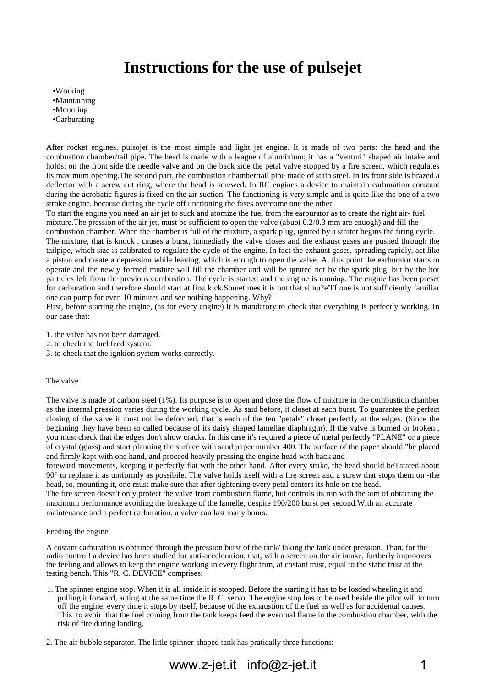# **Instructions for the use of pulsejet**

•Working

•Maintaining

•Mounting

•Carburating

After rocket engines, pulsojet is the most simple and light jet engine. It is made of two parts: the head and the combustion chamber/tail pipe. The head is made with a league of aluminium; it has a "venturi" shaped air intake and holds: on the front side the needle valve and on the back side the petal valve stopped by a fire screen, which regulates its maximum opening.The second part, the combustion chamber/tail pipe made of stain steel. In its front side is brazed a deflector with a screw cut ring, where the head is screwed. In RC engines a device to maintain carburation constant during the acrobatic figures is fixed on the air suction. The functioning is very simple and is quite like the one of a two stroke engine, because during the cycle off unctioning the fases overcome one the other.

To start the engine you need an air jet to suck and atomize the fuel from the earburator as to create the right air- fuel mixture.The pression of the air jet, must be sufficient to open the valve (abuot 0.2/0.3 mm are enuogh) and fill the combustion chamber. When the chamber is full of the mixture, a spark plug, ignited by a starter begins the firing cycle.

The mixture, that is knock , causes a burst, hnmediatly the valve closes and the exhaust gases are pushed through the tailpipe, which size is calibrated to regulate the cycle of the engine. In fact the exhaust gases, spreading rapidly, act like a piston and create a depression while leaving, which is enough to open the valve. At this point the earburator starts to operate and the newly formed misture will fill the chamber and will be ignited not by the spark plug, but by the hot particles left from the previous combustion. The cycle is started and the engine is running. The engine has been preset for carburation and therefore should start at first kick.Sometimes it is not that simp?e'Tf one is not sufficiently familiar one can pump for even 10 minutes and see nothing happening. Why?

First, before starting the engine, (as for every engine) it is mandatory to check that everything is perfectly working. In our case that:

1. the valve has not been damaged.

- 2. to check the fuel feed system.
- 3. to check that the ignkion system works correctly.

### The valve

The valve is made of carbon steel (1%). Its purpose is to open and close the flow of mixture in the combustion chamber as the internal pression varies during the working cycle. As said before, it closet at each burst. To guarantee the perfect closing of the valve it must not be deformed, that is each of the ten "petals" closet perfectly at the edges. (Since the beginning they have been so called because of its daisy shaped lamellae diaphragm). If the valve is burned or broken , you must check that the edges don't show cracks. In this case it's required a piece of metal perfectly "PLANE" or a piece of crystal (glass) and start planning the surface with sand paper number 400. The surface of the paper should "be placed and firmly kept with one hand, and proceed heavily pressing the engine head with back and

foreward movements, keeping it perfectly flat with the other hand. After every strike, the head should beTatated about 90° to replane it as uniformly as possibile. The valve holds itself with a fire screen and a screw that stops them on -the head, so, mounting it, one must make sure that after tightening every petal centers its hole on the head.

The fire screen doesn't only protect the valve from combustion flame, but controls its run with the aim of obtaining the maximum performance avoiding the breakage of the lamelle, despite 190/200 burst per second.With an accurate maintenance and a perfect carburation, a valve can last many hours.

## Feeding the engine

A costant carburation is obtained through the pression burst of the tank/ taking the tank under pression. Than, for the radio control! a device has been studied for anti-acceleration, that, with a screen on the air intake, furtherly improoves the feeling and allows to keep the engine working in every flight trim, at costant trust, equal to the static trust at the testing bench. This "R. C. DEVICE" comprises:

- 1. The spinner engine stop. When it is all inside.it is stopped. Before the starting it has to be losded wheeling it and pulling it forward, acting at the same time the R. C. servo. The engine stop has to be used beside the pilot will to turn off the engine, every time it stops by itself, because of the exhaustion of the fuel as well as for accidental causes. This to avoir that the fuel coming from the tank keeps feed the eventual flame in the combustion chamber, with the risk of fire during landing.
- 2. The air bubble separator. The little spinner-shaped tank has pratically three functions:

# www.z-jet.it info@z-jet.it 1